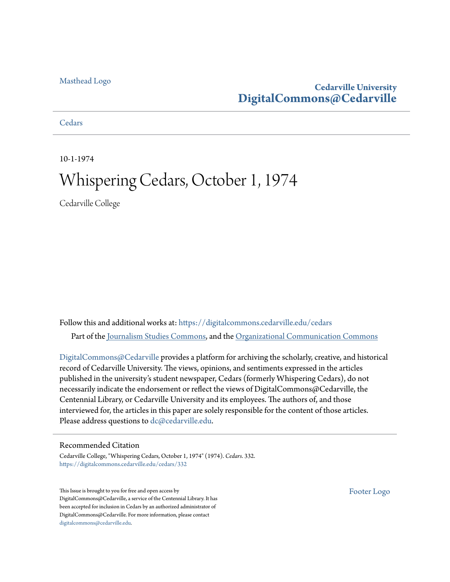#### [Masthead Logo](http://www.cedarville.edu/?utm_source=digitalcommons.cedarville.edu%2Fcedars%2F332&utm_medium=PDF&utm_campaign=PDFCoverPages)

#### **Cedarville University [DigitalCommons@Cedarville](https://digitalcommons.cedarville.edu?utm_source=digitalcommons.cedarville.edu%2Fcedars%2F332&utm_medium=PDF&utm_campaign=PDFCoverPages)**

**[Cedars](https://digitalcommons.cedarville.edu/cedars?utm_source=digitalcommons.cedarville.edu%2Fcedars%2F332&utm_medium=PDF&utm_campaign=PDFCoverPages)** 

10-1-1974

### Whispering Cedars, October 1, 1974

Cedarville College

Follow this and additional works at: [https://digitalcommons.cedarville.edu/cedars](https://digitalcommons.cedarville.edu/cedars?utm_source=digitalcommons.cedarville.edu%2Fcedars%2F332&utm_medium=PDF&utm_campaign=PDFCoverPages) Part of the [Journalism Studies Commons](http://network.bepress.com/hgg/discipline/333?utm_source=digitalcommons.cedarville.edu%2Fcedars%2F332&utm_medium=PDF&utm_campaign=PDFCoverPages), and the [Organizational Communication Commons](http://network.bepress.com/hgg/discipline/335?utm_source=digitalcommons.cedarville.edu%2Fcedars%2F332&utm_medium=PDF&utm_campaign=PDFCoverPages)

[DigitalCommons@Cedarville](http://digitalcommons.cedarville.edu/) provides a platform for archiving the scholarly, creative, and historical record of Cedarville University. The views, opinions, and sentiments expressed in the articles published in the university's student newspaper, Cedars (formerly Whispering Cedars), do not necessarily indicate the endorsement or reflect the views of DigitalCommons@Cedarville, the Centennial Library, or Cedarville University and its employees. The authors of, and those interviewed for, the articles in this paper are solely responsible for the content of those articles. Please address questions to [dc@cedarville.edu.](mailto:dc@cedarville.edu)

#### Recommended Citation

Cedarville College, "Whispering Cedars, October 1, 1974" (1974). *Cedars*. 332. [https://digitalcommons.cedarville.edu/cedars/332](https://digitalcommons.cedarville.edu/cedars/332?utm_source=digitalcommons.cedarville.edu%2Fcedars%2F332&utm_medium=PDF&utm_campaign=PDFCoverPages)

This Issue is brought to you for free and open access by DigitalCommons@Cedarville, a service of the Centennial Library. It has been accepted for inclusion in Cedars by an authorized administrator of DigitalCommons@Cedarville. For more information, please contact [digitalcommons@cedarville.edu](mailto:digitalcommons@cedarville.edu).

[Footer Logo](http://www.cedarville.edu/Academics/Library.aspx?utm_source=digitalcommons.cedarville.edu%2Fcedars%2F332&utm_medium=PDF&utm_campaign=PDFCoverPages)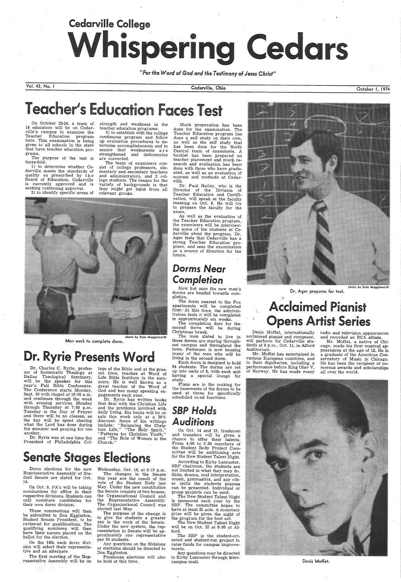# Cedarville College Whispering Cedars

*"For the Word ol God and the T esfimony ol Jesus Christ"* 

Vol. 43, No. I

On October 22-24, a team of 14 educators will be on Cedarville's campus to examine the<br>Teacher Education program here. This examination is being given to all schools in the state that have teacher education programs.

The purpose of the test is three-fold:

teacher education programs.<br>3) to establish with the college continuous program and follow up evaluation procedures to de termine accomplishments and to assure that weaknesses a r e strengthened and deficiencies are corrected.

1) to determine whether Cedarville meets the standards of quality as prescribed by the Board of Education. Cedarville is currently approved . and is seeking continuing approval.

2) to identify specific areas of

strength and weakness in the

Dr. Ryrie has written books that deal with the Christian Life and the problems involved with daily living. His books will be on sale this week only at a 20% discount. Some of his writings discount. Some of the United States include: "Balancing the Chris-<br>tian Life," "The Holy Spirit,"

 The team of examiners consist of college professors, elementary and secondary teachers and administrators, and 2 college students. The reason for the variety of backgrounds is that they might get input from all relevant groups.

<sup>p</sup>hoto by Dale Muggleworth Men work to complete dorm.

### Dr. Ryrie Presents Word

On Oct. 9, PA's will be taking nominations for office in their respective divisions. Students can only nominate candidates for their own dorm division.

The first meeting of the Rep resentative Assembly will be on

Dr. Charles C. Ryrie, professor of Systematic Theology at Dallas Theological Seminary, will be the speaker for this year's Fall Bible Conference. The Conference starts Monday, Sept. 30 with chapel at 10:00 a.m. and continues through the week with evening services Monday through Thursday at 7: 00 p.m. Tuesday *is* the Day of Prayer and there will be no classes, as the day will be spent sharing what the Lord has done during the summer and praying for one

another.

 Dr. Ryrie was at one time the President of Philadelphia College of the Bible and at the pres ent time, teaches at Word of Life Bible Institute in the sum mers. He is well known as a great teacher of the Word of God and has many speaking en gagements each year.

"Patterns for Christian Youth," and "The Role of Women in the Church.''

### **Senate Stages Elections**

Dorm elections for the new Representative Assembly of Student Senate are slated for Oct. 14.

The completion date for the second dorm will be during Christmas break.

On Oct. 14 and 15, freshmen and transfers will be given <sup>a</sup>chance to offer their talents. From 4:00 to 5:30 members of the Student Body Project Com for the New Student Talent Night.

These nominations will then be submitted to Don Eggleston, Student Senate President, to be Student Senate President, to be<br>reviewed for qualifications. The qualifying nominees will then have their names placed on the ballot for the election.

According to Kirby Lancaster, SBP chairman, the students are<br>not limited in what they may do. Skits, drama, oral interpretation, music, gymnastics, and any other skills the students possess can be presented. Individual or group projects can be used.<br>The New Student Talent Night

On the 14th each dorm division will select their representa tive and an alternate.

Wednesday, Oct. 16, at 8:15 p.m.

is sponsored each year by the SBP. The committee hopes to have at least 25 acts. A monetary prize will be given the night of the program for the best act.

The changes in the Senate this year are the result of the vote of the Student Body last May. Under the new constitution the Senate consists of two houses, the Organizational Council and the Representative Assembly. The Organizational Council was elected last May.



Dr. Ager prepares for test.

### **Acclaimed Pianist Opens Artist Series**

The purpose of the change is to give the students a greater say in the work of the Senate. Under the new system, the rep-<br>resentation in Senate will be approximately one representative per 50 students.

Mr. Moffat, a native of Chicago, made his first musical appearances at the age of 12. He is a graduate of the American Conservatory of Music in Chicago. He has been the recipient of numerous awards and scholarships all over the world.

Any questions on the divisions or elections should be directed to Don Eggleston.

Freshman elections will also be held at this time.

Cedarville, Ohio

### Teacher's Education Faces Test

Much preparation has been done for the examination. The Teacher Education program has done a self study on their own, has been done for the North Central team of examiners. A booklet has been prepared on teacher placement and much research and evaluation has been done with those who have graduated, as well as an evaluation of courses and methods at Cedarville.

Dr. Paul Hailey, who is the Director of the Division of Teacher Education and Certifimeeting on Oct. 8. He will try to prepare the faculty for the exam.

 As well as the evaluation of the Teacher Education program, the examiners will be interviewing some of the students at Ce-<br>darville about the program. Dr. Ager feels that Cedarville has a strong Teacher Education program, and sees the examination as a. source of direction for the future.

### *Dorms* Near *Completion*

Slow but sure the new men's dorms are headed towards completion.

The dorm nearest to the Fox apartments will be completed first:-At this time, the administration feels it will be completed in approximately six weeks.

The men slated to live in these dorms are staying throughout campus and throughout the town. Patterson is now housing many of. the men who will be living in the second dorm.

Each dorm is designed to hold 64 students. The dorms are set up into units of 8, with each unit having a special lounge for study.

Plans are in the making for the basements of the dorms to be used at times for specifically scheduled co-ed functions.



The New Student Talent Night will be on Oct. 25 at 8:00 at Alford.

The SBP is the student-oriented and student-run project to raise funds for campus improvements.

Any questions may be directed to Kirby Lancaster through intercampus mail.

October I, 1974

Denis Moffat, internationally acclaimed pianist and composer, will perform for Cedarville students at 8 p.m., Oct. 11, in Alford Auditorium.

 Mr. Moffat has entertained in various European countries, and to their dignitaries, including <sup>a</sup>performance before King Olav V, of Norway. He has made many

radio and television appearances and recorded an RCA album.



Denis Moffet.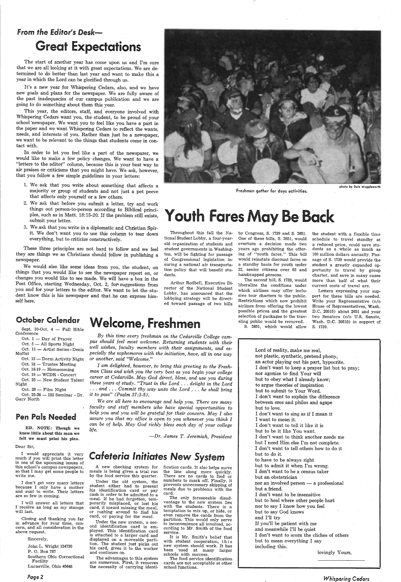### From the Editor's Desk-**Great Expectations**

The start of another year has come upon us and I'm sure that we are all looking at it with great expectations. We are determined to do better than last year and want to make this a year in which the Lord can be glorified through us.

It's a new year for Whispering Cedars, also, 'and we have new goals and plans for the newspaper. We are fully aware of the past inadequacies of our campus publication and we are going to do something about them this year.

This year, the editors, staff, and everyone involved with Whispering Cedars want you, the student, to be proud of your school 'newspaper. We want you to feel like you have a part in the paper and we want Whispering Cedars to reflect the wants, needs, and interests of you. Rather than just be a newspaper, we want to be relevant to the things that students come in contact with.

In order to let you feel like a part of the newsparer, we would like to make a few policy changes. We want to have a "letters to the editor" column, because this is your best way to air praises or criticisms that you might have. We ask, however, that you follow a few simple guidelines in your letters:

photo by Dale Muggleworth

## ples, such as in Matt. 18:15-20. If the problem still exists, Youth Fares May Be Back

Sept.  $30$ -Oct.  $4 -$  Fall Bible Conference

Oct.  $1 - Day$  of Prayer Oct.  $5$  - All Sports Night Oct. 11 - Artist Series - Denis



Freshmen gather for days activities.

Moffat Oct. 12 - Dorm Activity Night

Oct. 18 - Trustee Meeting

Oct.  $18-19$  - Homecoming

Oct. 19 - WCDR - Concert Oct. 25 - New Student Talent

- 1. We ask that you write about something that affects a majority or group of students and not just a pet peeve that affects only yourself or a few others.
- 2. We ask that before you submit a letter, try and work things out person-to-person according to Biblical princi<sup>p</sup>les, such as in Matt. 18:15-20. If the problem still exists,
- 3. We ask that you write in a diplomatic and Christian Spirit. We don't want you to use this column to tear down everything, but to criticize constructively.

Night Oct. 26 - Film Night

Oct.  $25-26$   $-$  ISI Seminar - Dr. Gary North

Throughout this fall the National Student Lobby, a four-yearold organization of students and student governments in Washington, will· be fighting for passage of Congressional legislation insuring a national air transportation policy that will benefit students.

These three principles are not hard to follow and we feel they are things we as Christians should follow in publishing a newspaper.

We would also like some ideas from you, the student, on things that you would like to see the newspaper report on, or changes you would like to see made. We will have a box in the Post Office, starting Wednesday, Oct. 2, for suggestions from you and for your letters to the editor. We want to let the student know this is his newspaper and that, he can express himself here.

> Under the old system, the<br>student either had to present his identification card or pay cash in order to be admitted to <sup>a</sup> meal. If he had forgotten, tem porarily misplaced, or lost his card, it meant missing the meal, or rushing around to find his card, or- paying for the meal.

Arthur Rodbell, Executive Director of the National Student Lobby, has announced that the lobbying strategy will be directed toward passage of two bills

#### October Calendar

#### Pen Pals Needed

ED. NOTE: Though we know little about this man we felt we must print his plea.

Dear Sir,

<sup>I</sup>would appreciate it very much if you will print this letter in one of the upcoming issues of this school's campus newspapers,· so that I may get some people to write me.

<sup>I</sup>don't get very many letters because I only have a mother and aunt to write. Their letters are so few in coming.

I will answer all letters that <sup>I</sup>receive as long as my stamps will last.

Closing and thanking you far in advance for your time, concern, and all consideration in the above request.

Sincerely,

John L. Wright 124730 P. 0. Box 787 Southern Ohio Correctional Facility Lucasville, Ohio 45648

#### *Page2*

*By this time every freshman on the Cedarville College campus should feel most welcome. Returning students with their well wishes, faculty members with their assignments, and es-* . *pecially the sophomores with the initiation, have, all in one way or another, said "Welcome."* 

*<sup>I</sup>am delighted, however, to bring this greeting to the Freshman Class and wish you the very best as you begin your college career at Cedarville. May God direct, bless, and use you during these years of study. "Trust in the Lord .* .. *delight in the Lord*  ... *and* ... *Commit thy way unto the Lord* , .. *he shall bring it to pass" (Psalm 87:3-5).* 

Lord of reality, make me real, not plastic, synthetic, pretend phony, an actor playing out his part, hypocrite. <sup>I</sup>don't want to keep a prayer list but to pray; nor agonize to find Your will but to obey what I already know; to argue theories of inspiration but to submit to Your Word. <sup>I</sup>don't want to explain the difference between eros and philos and agape but to love. <sup>I</sup>don't want to sing as if I mean it I want to mean it. I don't want to tell it like it is but to be it like You want. I don't want to think another needs me but I need Him else I'm not complete. I don't want to tell others how to do it but to do it. to have to be always right but to admit it when I'm wrong. I don't want to be a census taker but an obstetrician nor an involved person  $-$  a professional but a friend. I don't want to be insensitive but to heal where other people hurt nor to say I know how you feel but to say God knows and I'll try If you'll be patient with me and meanwhile I'll be quiet I don't want to scorn the cliches of others but to mean everything I say including this. lovingly Yours,

*We are all here to encourage and help you. There are many faculty and staff members who have special opportunities to help you and you will be grateful for their \_concern. May I also assure you that my office is open to you whenever you think <sup>I</sup> can be of help. May God richly bless each day of your college life.* ·

*-Dr. James T. Jeremiah, President* 

### *Cafeteria Initiates* New *System*

A new checking system for meals is being given a trial run by the food service this quarter.

Under the new system, a second identification card is employed. This identification card is attached to a larger card and displayed on a moveable partition. The student just picks out his card, gives it to the worker and continues on.

The advantages to this system are numerous. First, it removes the necessity of carrying identification cards. It also helps move the line along more quickly. There are no cards to find or numbers to mark off. Finally, it prevents unnecessary skipping of meals due to problems with the card.

The only foreseeable disad vantage to the new system lies with the students. There is a temptation to mix up, or hide, or even remove the cards from the partition. This would only serve to inconvenience all involved, according to Mr. Smith of the food service.

It is Mr. Smith's belief that with student cooperation, this new system should work. It has been used at many larger schools with success.

The food service identification cards are not acceptable at other school functions.

by Congress, S. 1739 and S. 2651. One of these bills, S. 2651, would overturn a decision made two years ago prohibiting the offering of "youth fares." This bill would reinstate discount fares on a standby basis for youth under 22, senior citizens over 65 and handicapped persons.

The second bill, S. 1739, would liberalize the conditions under which airlines may offer inclusive tour charters to the public. Restrictions which now prohibit airlines from offering the lowest possible prices and the greatest selection of packages to the traveling public would be removed.

S. 2651, which would allow

the student with a flexible time schedule to travel standby at a reduced price, could save students as a whole as much as 100 million dollars annually. Passage of S. 1739 would provide the student a greatly expanded opportunity to travel by group charter, and save in many cases more than half of what their current costs of travel are.

Letters expressing your support for these bills are needed. Write your Representative (c/o House of Representatives, Wash. D.C. 20515) about 2651 and your two Senators (c/o U.S. Senate, Wash. D.C. 20510) in support of s. 1739.

### **Welcome, Freshmen**

#### *Whispering Cedars*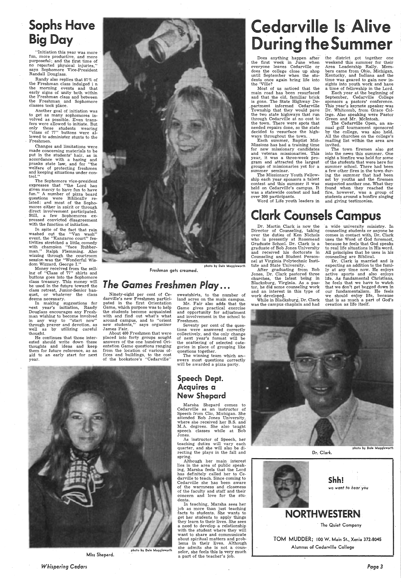### **Sophs Have Big Day**

'Initiation this year was more fun, more productive, and more purposeful; and the first time of no reported physical injuries,'' says Sophomore Vice-President Randall Douglass.

Randy also replies that 97% of the Freshman class indulged i n the morning events and that early signs of unity both within the Freshman class and between the Freshman and Sophomore classes took place.

Another goal of initiation was to get as many sophomores involved as possible. Even transfers were allowed to initiate. But only those students wearing "class of 77" buttons were allowed to administer stunts to the Freshmen.

Changes and limitations were made concerning materials to be put in the students' hair, as in accordance with a hazing and pranks state law, and for "the welfare of protecting freshmen and keeping situations under control."

The Sophomore vice-president expresses that "the Lord has given mercy to have fun to have fun." A number of pizza board questions were Biblically related; and most of the Sophomores either in spirit or through direct involvement participated. Still, a few Sophomores expressed convicted disagreement with the function of initiation.

In spite of the fact that rain washed out the "Van wash" event. the "Kangaroo court" festivities stretched a little. comedy with champion "face Rubberman." Ralph Flemming. Also wizzing through the courtroom session was the ''Wonderful Wisdom Wizzard, George I."

Money received from the selling of "Class of 77" shirts and buttons goes into the Sophomore class treasury. This money will be used in the future toward the class retreat, Junior-Senior banquet, or whatever the class deems necessary.

In making suggestions for next year's initiation, Randy Douglass encourages any Freshman wishing to become involved in any way to "start now" through prayer and devotion, as well as by utilizing careful thought.

> In teaching, Marsha sees her job as more than just teaching facts to ·students. She wants to get her students to apply things they learn to their lives. She sees a need to develop a relationship with the student where they will want to share and communicate about spiritual matters and problems in their lives. Although she admits she is not a counphoto by Dale Muggleworth selor, she feels this is very much<br>Miss Shepard. a part of the teacher's job.

He continues that those interested should write down these thoughts and ideas and keep them for future reference, as an aid to an early start for next year.



Freshman gets creamed.

### *The* Games *Freshmen Play ...*

Most of us noticed that the main road has been resurfaced and that the old, familiar brick is gone. The State Highway De- / partment informed Cedarville Township that they would pave the two state highways that run through Cedarville at no cost to the town. There were spots that needed repairs done, so the state decided to resurface the highways throughout the town.

Ninety-eight per cent of Cedarville's new Freshmen participated in the first Orientation Game, which purpose was to help the students become acquainted with and find out what's what around campus, and to "orient new students," says organizer James Fair.

About 400 Freshmen that were placed into forty groups sought answers of the one hundred Orientation Game questions ranging from the location of various offices and buildings, to the cost of the bookstore's "Cedarville" sweatshirts, to the number of land acres on the main campus.

Mr. Fair also adds that the Game gives practical exercise and opportunity for adjustment and involvement in the school to Freshmen.

Seventy per cent of the questions were answered correctly collectively, and the only change of next year's format will be the scattering of selected categories in place of grouping like questions together.

The winning team which an- swers most questions correctly will be awarded a pizza party.

#### Speech Dept. Acquires a New Shepard

Marsha Shepard comes to Cedarville as an instructor of Speech from Clio, Michigan. She attended Bob Jones University, where she-received her B.S. and' M.A. degrees. She also taught speech classes while at Bob Jones.

## rville Is Alive the Summer

After graduating from Bob Jones, Dr. Clark pastored three churches, the latest being in Blacksburg, Virginia. As a pastor, he did some counseling work and an interest in this type of  $\text{work}$  developed.  $\qquad \qquad$ 

As instructor of Speech, her teaching duties will vary each quarter, and she will also be directing the plays in the fall and spring.

a wide university ministry. In counseling students or anyone he comes in contact with, Dr. Clark uses the Word of God foremost, because he feels that God speaks to real life situations in His word. All principles that he uses in his counseling are -Biblical.

Although her main interest lies in the area of public speaking, Marsha feels that the Lord has definitely called her to Cedarville to teach. Since coming to Cedarville she has been aware of the warmness and closeness of the faculty and staff and their concern and love for the students.

photo by Dale Muggleworth Dr. Clark.

> Shh! we want to hear you



TOM MUDDER; 100 W. Main St., Xenia 372-8045 Alumnus of Cedarville College

*Whispering Cedars* 

Does anything happen after the first week in June when everyone leaves Cedarville or does the college close up shop until September when the students once again bring life into the 'Ville?

Each summer, Baptist Mid-Missions has had a training time for new missionary candidates and veteran missionaries. This year, it was a three-week *pro*gram and attracted the largest groups of missionaries yet for a summer seminar.

The Missionary Youth Fellowship each year sponsors a talent contest and this summer it was held on Cedarville's campus. It was a statewide contest and had over 300 participants.

Word of Life youth leaders in

### **Clark Counsels Campus**

the district got together one weekend this summer for their Area Leadership Rally. Members came from Ohio, Michigan, Kentucky, and Indiana and the time was geared to gain new insights into youth work and have a time of fellowship in the Lord.

Each year at the beginning of September, Cedarville College sponsors a pastors' conference. This year's keynote speaker· was Dr. Whitcomb, from Grace College. Also speaking were Pastor Green and ·Mr. Mcintosh.

The Cedarville Open, an annual golf tournament sponsored by the college, was also held. All the churches on the college's mailing list within the area are invited.

 The town firemen also got into the news this summer. One night a bonfire was held for some of the students that were here for summer school. There had been a few other fires in the town during the summer that had been set by youths and the firemen suspected another one. What they found when they reached the fire, however, was a group of students around a bonfire singing and giving testimonies.

Dr. Martin Clark is now the Director of Counseling, taking over the duties of Ken Nichols who is presently at Rosemead Graduate School. Dr. Clark is a graduate of Bob Jones University and received his doctorate in Counseling and Student Personnel at Virginia Polytechnic Institute and State University.

While in Blacksburg, Dr. Clark was the campus chapiain and had

Dr. Clark is married and is expecting an addition to the family at any time now. He enjoys active sports- and also enjoys life. As fundamental Christians, he feels that we have to watch that we don't get bogged down in our fundamentalism. He feels we should enjoy life, because that is as much a part of God's creation as life itself.



### NORTHWESTERN

The Quiet Company

Page3